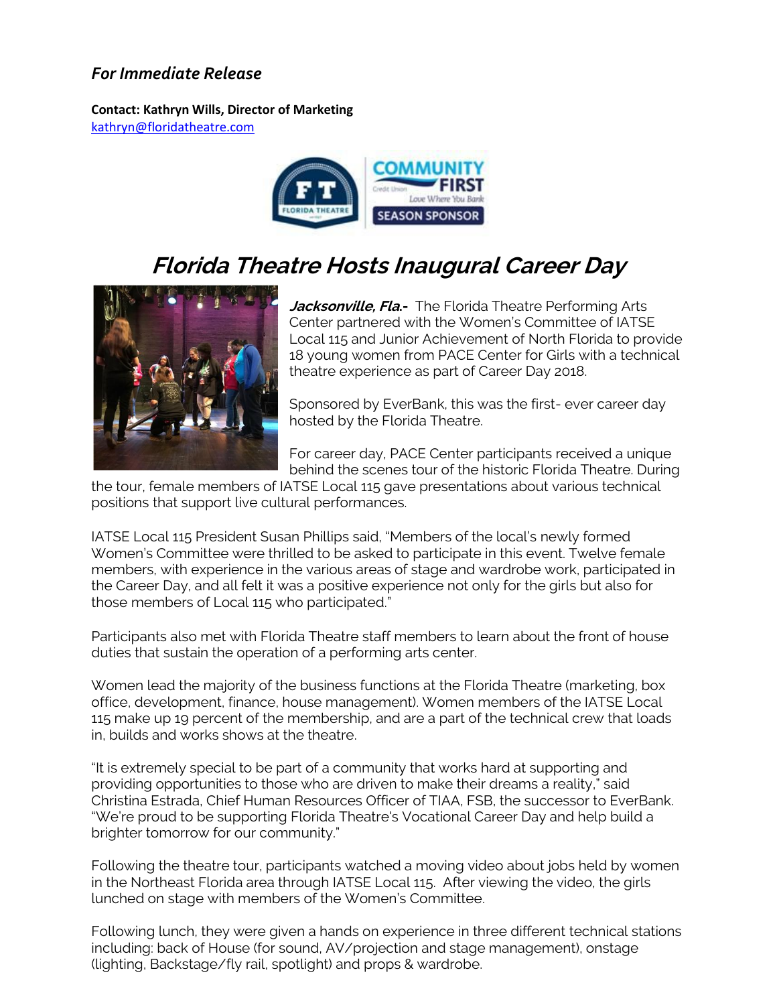## *For Immediate Release*

**Contact: Kathryn Wills, Director of Marketing**  [kathryn@floridatheatre.com](mailto:kathryn@floridatheatre.com)



# **Florida Theatre Hosts Inaugural Career Day**



**Jacksonville, Fla.-** The Florida Theatre Performing Arts Center partnered with the Women's Committee of IATSE Local 115 and Junior Achievement of North Florida to provide 18 young women from PACE Center for Girls with a technical theatre experience as part of Career Day 2018.

Sponsored by EverBank, this was the first- ever career day hosted by the Florida Theatre.

For career day, PACE Center participants received a unique behind the scenes tour of the historic Florida Theatre. During

the tour, female members of IATSE Local 115 gave presentations about various technical positions that support live cultural performances.

IATSE Local 115 President Susan Phillips said, "Members of the local's newly formed Women's Committee were thrilled to be asked to participate in this event. Twelve female members, with experience in the various areas of stage and wardrobe work, participated in the Career Day, and all felt it was a positive experience not only for the girls but also for those members of Local 115 who participated."

Participants also met with Florida Theatre staff members to learn about the front of house duties that sustain the operation of a performing arts center.

Women lead the majority of the business functions at the Florida Theatre (marketing, box office, development, finance, house management). Women members of the IATSE Local 115 make up 19 percent of the membership, and are a part of the technical crew that loads in, builds and works shows at the theatre.

"It is extremely special to be part of a community that works hard at supporting and providing opportunities to those who are driven to make their dreams a reality," said Christina Estrada, Chief Human Resources Officer of TIAA, FSB, the successor to EverBank. "We're proud to be supporting Florida Theatre's Vocational Career Day and help build a brighter tomorrow for our community."

Following the theatre tour, participants watched a moving video about jobs held by women in the Northeast Florida area through IATSE Local 115. After viewing the video, the girls lunched on stage with members of the Women's Committee.

Following lunch, they were given a hands on experience in three different technical stations including: back of House (for sound, AV/projection and stage management), onstage (lighting, Backstage/fly rail, spotlight) and props & wardrobe.